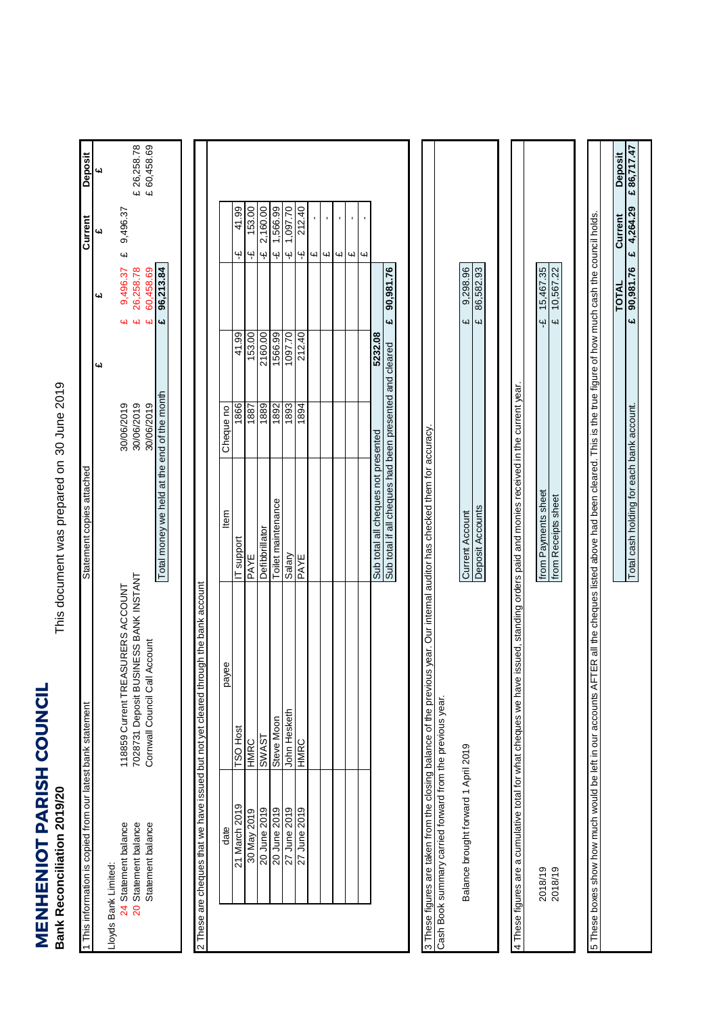**MENHENIOT PARISH COUNCIL**<br>Bank Reconciliation 2019/20 **MENHENIOT PARISH COUNCIL Bank Reconciliation 2019/20**

This document was prepared on 30 June 2019 This document was prepared on

|                      | This information is copied from our latest bank statement       |                                                                                                                              | Statement copies attached                                                                                     |                          |         |                                                        | Current                                   | Deposit                    |
|----------------------|-----------------------------------------------------------------|------------------------------------------------------------------------------------------------------------------------------|---------------------------------------------------------------------------------------------------------------|--------------------------|---------|--------------------------------------------------------|-------------------------------------------|----------------------------|
|                      |                                                                 |                                                                                                                              |                                                                                                               |                          | 41      | یما                                                    | 4d                                        | <b>س</b>                   |
| Lloyds Bank Limited: | 24 Statement balance                                            | 118859 Current TREASURERS ACCOUNT                                                                                            |                                                                                                               | 30/06/2019               |         | 9,496.37<br>w                                          | 9,496.37<br>$\omega$                      |                            |
|                      | Statement balance<br>20 Statement balance                       | 7028731 Deposit BUSINESS BANK INSTANT<br>Cornwall Council Call Account                                                       |                                                                                                               | 30/06/2019<br>30/06/2019 |         | 26,258.78<br>60,458.69<br>W<br>$\overline{\mathbf{u}}$ |                                           | £ 60,458.69<br>£ 26,258.78 |
|                      |                                                                 |                                                                                                                              | Total money we held at the end of the month                                                                   |                          |         | 96,213.84<br>4                                         |                                           |                            |
|                      |                                                                 |                                                                                                                              |                                                                                                               |                          |         |                                                        |                                           |                            |
|                      |                                                                 | 2 These are cheques that we have issued but not yet cleared through the bank account                                         |                                                                                                               |                          |         |                                                        |                                           |                            |
|                      | date                                                            | payee                                                                                                                        | ltem                                                                                                          | Cheque no                |         |                                                        |                                           |                            |
|                      | 21 March 2019                                                   | <b>TSO Host</b>                                                                                                              | IT support                                                                                                    | 1866                     | 41.99   |                                                        | 41.99<br>Ψ                                |                            |
|                      | 30 May 2019                                                     | HMRC                                                                                                                         | PAYE                                                                                                          | 1887                     | 153.00  |                                                        | 153.00<br>Ψ                               |                            |
|                      | 20 June 2019                                                    | <b>LSVMS</b>                                                                                                                 | Defibbrillator                                                                                                | 1889                     | 2160.00 |                                                        | 2,160.00<br>$\ddot{\mathbf{r}}$           |                            |
|                      | 20 June 2019                                                    | Steve Moon                                                                                                                   | Toilet maintenance                                                                                            | 1892                     | 1566.99 |                                                        | 1,566.99<br>ىپە                           |                            |
|                      | 27 June 2019                                                    | John Hesketh                                                                                                                 | Salary                                                                                                        | 1893                     | 1097.70 |                                                        | 1,097.70<br>نې                            |                            |
|                      | 27 June 2019                                                    | HMRC                                                                                                                         | PAYE                                                                                                          | 1894                     | 212.40  |                                                        | 212.40<br>Ψ                               |                            |
|                      |                                                                 |                                                                                                                              |                                                                                                               |                          |         |                                                        | Щ                                         |                            |
|                      |                                                                 |                                                                                                                              |                                                                                                               |                          |         |                                                        | $\bar{\mathbf{r}}$<br>Щ                   |                            |
|                      |                                                                 |                                                                                                                              |                                                                                                               |                          |         |                                                        | $\blacksquare$<br>СŲ                      |                            |
|                      |                                                                 |                                                                                                                              |                                                                                                               |                          |         |                                                        | $\mathbf{r}$<br>W                         |                            |
|                      |                                                                 |                                                                                                                              |                                                                                                               |                          |         |                                                        | $\blacksquare$<br>$\overline{\mathbf{u}}$ |                            |
|                      |                                                                 |                                                                                                                              | Sub total all cheques not presented                                                                           |                          | 5232.08 |                                                        |                                           |                            |
|                      |                                                                 |                                                                                                                              | Sub total if all cheques had been presented and cleared                                                       |                          |         | 90,981.76<br>4                                         |                                           |                            |
|                      | Cash Book summary carried forward from the previous year.       | 3 These figures are taken from the closing balance of the previous year. Our internal auditor has checked them for accuracy. |                                                                                                               |                          |         |                                                        |                                           |                            |
|                      | Balance brought forward 1 April 2019                            |                                                                                                                              | <b>Current Account</b>                                                                                        |                          |         | 9,298.96<br>41                                         |                                           |                            |
|                      |                                                                 |                                                                                                                              | Deposit Accounts                                                                                              |                          |         | 86,582.93<br>$\overline{u}$                            |                                           |                            |
|                      |                                                                 |                                                                                                                              |                                                                                                               |                          |         |                                                        |                                           |                            |
|                      | 4 These figures are a cumulative total for what cheques we have |                                                                                                                              | issued, standing orders paid and monies received in the current year.                                         |                          |         |                                                        |                                           |                            |
|                      | 2018/19                                                         |                                                                                                                              | from Payments sheet                                                                                           |                          |         | 15,467.35<br>٩ł                                        |                                           |                            |
|                      | 2018/19                                                         |                                                                                                                              | from Receipts sheet                                                                                           |                          |         | 10,567.22<br>$\overline{\mathbf{u}}$                   |                                           |                            |
|                      |                                                                 |                                                                                                                              |                                                                                                               |                          |         |                                                        |                                           |                            |
|                      | 5 These boxes show how much would be left in our accounts AFT   |                                                                                                                              | ER all the cheques listed above had been cleared. This is the true figure of how much cash the council holds. |                          |         |                                                        |                                           |                            |
|                      |                                                                 |                                                                                                                              | Total cash holding for each bank account.                                                                     |                          |         | 90,981.76<br><b>TOTAL</b><br>$\overline{\mathbf{u}}$   | £ 4,264.29<br>Current                     | £86,717.47<br>Deposit      |
|                      |                                                                 |                                                                                                                              |                                                                                                               |                          |         |                                                        |                                           |                            |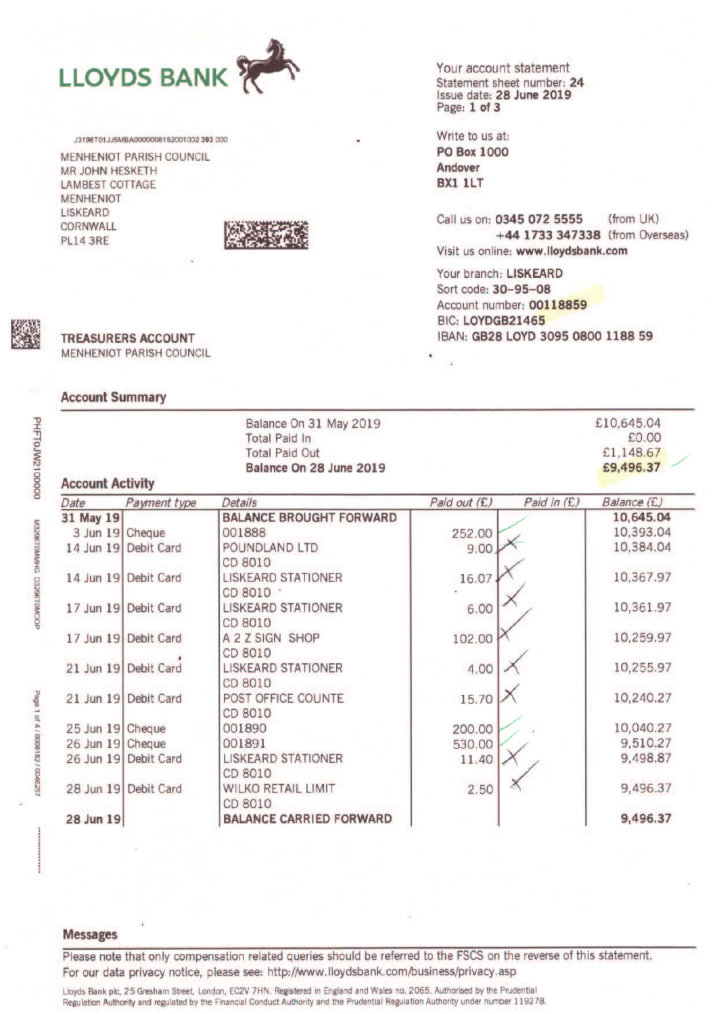

J3196T01JJ5MBA0000006182001002 393 000

MENHENIOT PARISH COUNCIL **MR JOHN HESKETH LAMBEST COTTAGE MENHENIOT LISKEARD** CORNWALL **PL14 3RE** 



Your account statement Statement sheet number: 24 Issue date: 28 June 2019

Write to us at: **PO Box 1000** Andover BX1 1LT

Call us on: 0345 072 5555 (from UK) +44 1733 347338 (from Overseas) Visit us online: www.lloydsbank.com

Your branch: LISKEARD Sort code: 30-95-08 Account number: 00118859 BIC: LOYDGB21465 IBAN: GB28 LOYD 3095 0800 1188 59

# **TREASURERS ACCOUNT MENHENIOT PARISH COUNCIL**

## **Account Summary**

DHF10JW2100000

M3296TDMMHG D3296T0MOOP

Page 1 of 4 / 0008182 / 004625

| <b>Account Activity</b> | £10,645.04<br>£0.00<br>£1,148.67<br>£9,496.37 |                                        |              |                            |
|-------------------------|-----------------------------------------------|----------------------------------------|--------------|----------------------------|
| Date                    | Payment type                                  | Details                                | Paid out (£) | Paid in (£)<br>Balance (£) |
| 31 May 19               |                                               | <b>BALANCE BROUGHT FORWARD</b>         |              | 10,645.04                  |
| 3 Jun 19 Cheque         |                                               | 001888                                 | 252.00       | 10,393.04                  |
| 14 Jun 19               | <b>Debit Card</b>                             | POUNDLAND LTD<br>CD 8010               | 9.00         | 10,384.04                  |
|                         | 14 Jun 19 Debit Card                          | <b>LISKEARD STATIONER</b><br>CD 8010 - | 16.07        | 10,367.97                  |
|                         | 17 Jun 19 Debit Card                          | <b>LISKEARD STATIONER</b><br>CD 8010   | 6.00         | 10,361.97                  |
|                         | 17 Jun 19 Debit Card                          | A 2 Z SIGN SHOP<br>CD 8010             | 102.00       | 10,259.97                  |
|                         | 21 Jun 19 Debit Card                          | <b>LISKEARD STATIONER</b><br>CD 8010   | 4.00         | 10,255.97                  |
|                         | 21 Jun 19 Debit Card                          | POST OFFICE COUNTE<br>CD 8010          | 15.70        | 10,240.27                  |
| 25 Jun 19 Cheque        |                                               | 001890                                 | 200.00       | 10,040.27                  |
| 26 Jun 19 Cheque        |                                               | 001891                                 | 530.00       | 9,510.27                   |
|                         | 26 Jun 19 Debit Card                          | <b>LISKEARD STATIONER</b><br>CD 8010   | 11.40        | 9,498.87                   |
| 28 Jun 19               | <b>Debit Card</b>                             | <b>WILKO RETAIL LIMIT</b><br>CD 8010   | 2.50         | 9,496.37                   |
| 28 Jun 19               |                                               | <b>BALANCE CARRIED FORWARD</b>         |              | 9,496.37                   |

#### **Messages**

Please note that only compensation related queries should be referred to the FSCS on the reverse of this statement. For our data privacy notice, please see: http://www.lloydsbank.com/business/privacy.asp

Lloyds Bank plc, 25 Gresham Street, London, EC2V 7HN. Registered in England and Wales no. 2065. Authorised by the Prudential Regulation Authority and regulated by the Financial Conduct Authority and the Prudential Regulation Authority under number 119278.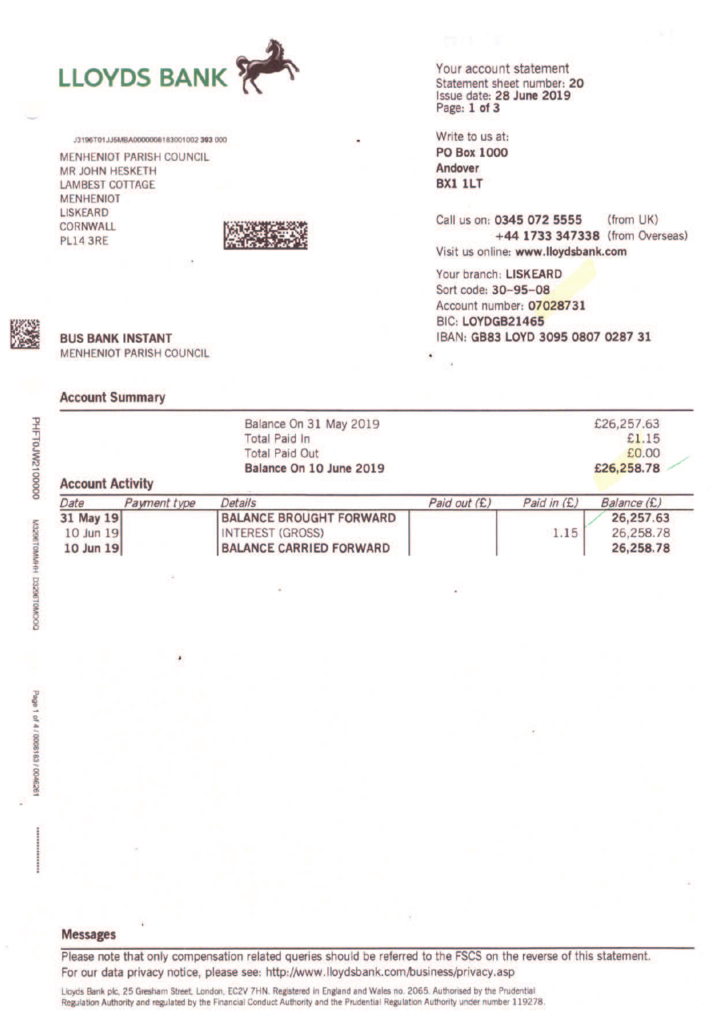

J3196T01JJ5MBA0000008183001002 393 000

**MENHENIOT PARISH COUNCIL MR JOHN HESKETH LAMBEST COTTAGE MENHENIOT LISKEARD** CORNWALL **PL14 3RE** 



# Your account statement Statement sheet number: 20 Issue date: 28 June 2019

Write to us at: **PO Box 1000** Andover BX1 1LT

Call us on: 0345 072 5555  $(from$   $UK)$ +44 1733 347338 (from Overseas) Visit us online: www.lloydsbank.com

Your branch: LISKEARD Sort code: 30-95-08 Account number: 07028731 BIC: LOYDGB21465 IBAN: GB83 LOYD 3095 0807 0287 31



**BUS BANK INSTANT MENHENIOT PARISH COUNCIL** 

# **Account Summary**

| Balance On 31 May 2019<br><b>Total Paid In</b><br><b>Total Paid Out</b><br>Balance On 10 June 2019<br><b>Account Activity</b> |              | £26,257.63<br>£1.15<br>£0.00<br>£26,258.78                                                  |              |             |                                     |
|-------------------------------------------------------------------------------------------------------------------------------|--------------|---------------------------------------------------------------------------------------------|--------------|-------------|-------------------------------------|
| Date                                                                                                                          | Payment type | <b>Details</b>                                                                              | Paid out (£) | Paid in (£) | Balance (£)                         |
| 31 May 19<br>10 Jun 19<br>10 Jun 19                                                                                           |              | <b>BALANCE BROUGHT FORWARD</b><br><b>INTEREST (GROSS)</b><br><b>BALANCE CARRIED FORWARD</b> |              | 1.15        | 26,257.63<br>26,258.78<br>26,258.78 |

0000012M/01-HHd

Please note that only compensation related queries should be referred to the FSCS on the reverse of this statement. For our data privacy notice, please see: http://www.lloydsbank.com/business/privacy.asp

Lloyds Bank plc, 25 Gresham Street, London, EC2V 7HN. Registered in England and Wales no. 2065. Authorised by the Prudential Regulation Authority and regulated by the Financial Conduct Authority and the Prudential Regulation Authority under number 119278.